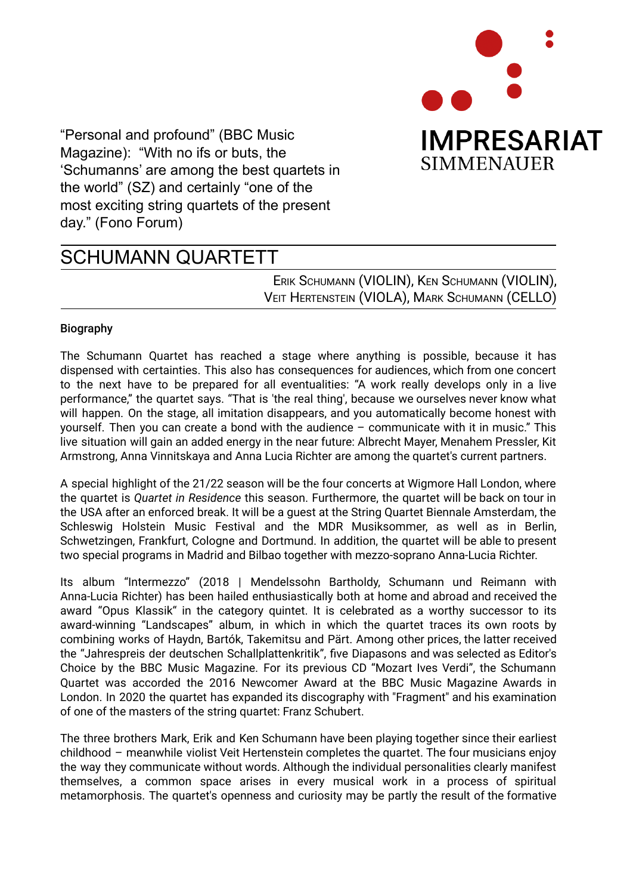

"Personal and profound" (BBC Music Magazine): "With no ifs or buts, the 'Schumanns' are among the best quartets in the world" (SZ) and certainly "one of the most exciting string quartets of the present day." (Fono Forum)

## SCHUMANN QUARTETT

ERIK SCHUMANN (VIOLIN), KEN SCHUMANN (VIOLIN), VEIT HERTENSTEIN (VIOLA), MARK SCHUMANN (CELLO)

## Biography

The Schumann Quartet has reached a stage where anything is possible, because it has dispensed with certainties. This also has consequences for audiences, which from one concert to the next have to be prepared for all eventualities: "A work really develops only in a live performance," the quartet says. "That is 'the real thing', because we ourselves never know what will happen. On the stage, all imitation disappears, and you automatically become honest with yourself. Then you can create a bond with the audience – communicate with it in music." This live situation will gain an added energy in the near future: Albrecht Mayer, Menahem Pressler, Kit Armstrong, Anna Vinnitskaya and Anna Lucia Richter are among the quartet's current partners.

A special highlight of the 21/22 season will be the four concerts at Wigmore Hall London, where the quartet is *Quartet in Residence* this season. Furthermore, the quartet will be back on tour in the USA after an enforced break. It will be a guest at the String Quartet Biennale Amsterdam, the Schleswig Holstein Music Festival and the MDR Musiksommer, as well as in Berlin, Schwetzingen, Frankfurt, Cologne and Dortmund. In addition, the quartet will be able to present two special programs in Madrid and Bilbao together with mezzo-soprano Anna-Lucia Richter.

Its album "Intermezzo" (2018 | Mendelssohn Bartholdy, Schumann und Reimann with Anna-Lucia Richter) has been hailed enthusiastically both at home and abroad and received the award "Opus Klassik" in the category quintet. It is celebrated as a worthy successor to its award-winning "Landscapes" album, in which in which the quartet traces its own roots by combining works of Haydn, Bartók, Takemitsu and Pärt. Among other prices, the latter received the "Jahrespreis der deutschen Schallplattenkritik", five Diapasons and was selected as Editor's Choice by the BBC Music Magazine. For its previous CD "Mozart Ives Verdi", the Schumann Quartet was accorded the 2016 Newcomer Award at the BBC Music Magazine Awards in London. In 2020 the quartet has expanded its discography with "Fragment" and his examination of one of the masters of the string quartet: Franz Schubert.

The three brothers Mark, Erik and Ken Schumann have been playing together since their earliest childhood – meanwhile violist Veit Hertenstein completes the quartet. The four musicians enjoy the way they communicate without words. Although the individual personalities clearly manifest themselves, a common space arises in every musical work in a process of spiritual metamorphosis. The quartet's openness and curiosity may be partly the result of the formative